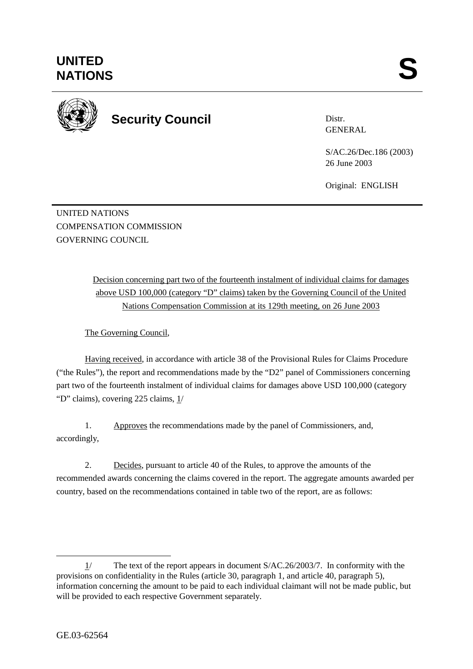

**Security Council** 

Distr. GENERAL

S/AC.26/Dec.186 (2003) 26 June 2003

Original: ENGLISH

UNITED NATIONS COMPENSATION COMMISSION GOVERNING COUNCIL

> Decision concerning part two of the fourteenth instalment of individual claims for damages above USD 100,000 (category "D" claims) taken by the Governing Council of the United Nations Compensation Commission at its 129th meeting, on 26 June 2003

The Governing Council,

Having received, in accordance with article 38 of the Provisional Rules for Claims Procedure ("the Rules"), the report and recommendations made by the "D2" panel of Commissioners concerning part two of the fourteenth instalment of individual claims for damages above USD 100,000 (category "D" claims), covering 225 claims, 1/

1. Approves the recommendations made by the panel of Commissioners, and, accordingly,

2. Decides, pursuant to article 40 of the Rules, to approve the amounts of the recommended awards concerning the claims covered in the report. The aggregate amounts awarded per country, based on the recommendations contained in table two of the report, are as follows:

 $\overline{a}$ 1/ The text of the report appears in document S/AC.26/2003/7. In conformity with the provisions on confidentiality in the Rules (article 30, paragraph 1, and article 40, paragraph 5), information concerning the amount to be paid to each individual claimant will not be made public, but will be provided to each respective Government separately.